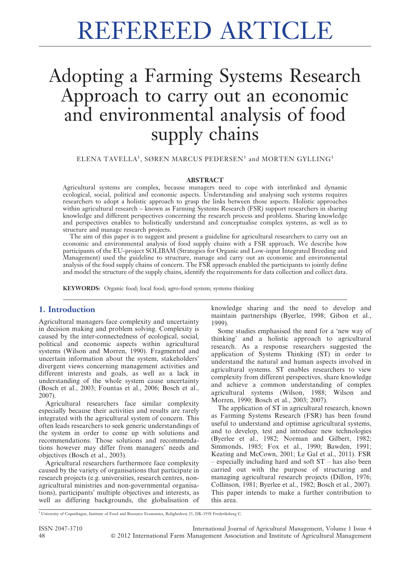# REFEREED ARTICLE

## Adopting a Farming Systems Research Approach to carry out an economic and environmental analysis of food supply chains

ELENA TAVELLA $^1\!,\,$  SØREN MARCUS PEDERSEN $^1$  and MORTEN GYLLING $^1$ 

#### ABSTRACT

Agricultural systems are complex, because managers need to cope with interlinked and dynamic ecological, social, political and economic aspects. Understanding and analysing such systems requires researchers to adopt a holistic approach to grasp the links between those aspects. Holistic approaches within agricultural research – known as Farming Systems Research (FSR) support researchers in sharing knowledge and different perspectives concerning the research process and problems. Sharing knowledge and perspectives enables to holistically understand and conceptualise complex systems, as well as to structure and manage research projects.

The aim of this paper is to suggest and present a guideline for agricultural researchers to carry out an economic and environmental analysis of food supply chains with a FSR approach. We describe how participants of the EU-project SOLIBAM (Strategies for Organic and Low-input Integrated Breeding and Management) used the guideline to structure, manage and carry out an economic and environmental analysis of the food supply chains of concern. The FSR approach enabled the participants to jointly define and model the structure of the supply chains, identify the requirements for data collection and collect data.

KEYWORDS: Organic food; local food; agro-food system; systems thinking

#### 1. Introduction

Agricultural managers face complexity and uncertainty in decision making and problem solving. Complexity is caused by the inter-connectedness of ecological, social, political and economic aspects within agricultural systems (Wilson and Morren, 1990). Fragmented and uncertain information about the system, stakeholders' divergent views concerning management activities and different interests and goals, as well as a lack in understanding of the whole system cause uncertainty (Bosch et al., 2003; Fountas et al., 2006; Bosch et al., 2007).

Agricultural researchers face similar complexity especially because their activities and results are rarely integrated with the agricultural system of concern. This often leads researchers to seek generic understandings of the system in order to come up with solutions and recommendations. Those solutions and recommendations however may differ from managers' needs and objectives (Bosch et al., 2003).

Agricultural researchers furthermore face complexity caused by the variety of organisations that participate in research projects (e.g. universities, research centres, nonagricultural ministries and non-governmental organisations), participants' multiple objectives and interests, as well as differing backgrounds, the globalisation of knowledge sharing and the need to develop and maintain partnerships (Byerlee, 1998; Gibon et al., 1999).

Some studies emphasised the need for a 'new way of thinking' and a holistic approach to agricultural research. As a response researchers suggested the application of Systems Thinking (ST) in order to understand the natural and human aspects involved in agricultural systems. ST enables researchers to view complexity from different perspectives, share knowledge and achieve a common understanding of complex agricultural systems (Wilson, 1988; Wilson and Morren, 1990; Bosch et al., 2003; 2007).

The application of ST in agricultural research, known as Farming Systems Research (FSR) has been found useful to understand and optimise agricultural systems, and to develop, test and introduce new technologies (Byerlee et al., 1982; Norman and Gilbert, 1982; Simmonds, 1985; Fox et al., 1990; Bawden, 1991; Keating and McCown, 2001; Le Gal et al., 2011). FSR – especially including hard and soft ST – has also been carried out with the purpose of structuring and managing agricultural research projects (Dillon, 1976; Collinson, 1981; Byerlee et al., 1982; Bosch et al., 2007). This paper intends to make a further contribution to this area.

<sup>1</sup> University of Copenhagen, Institute of Food and Resource Economics, Rolighedsvej 25, DK-1958 Frederiksberg C.

ISSN 2047-3710 International Journal of Agricultural Management, Volume 1 Issue 4 48 ' 2012 International Farm Management Association and Institute of Agricultural Management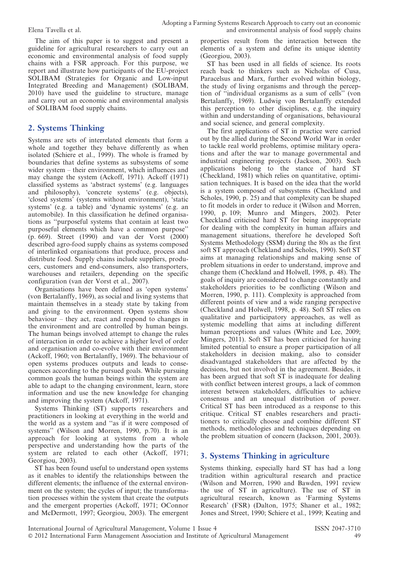The aim of this paper is to suggest and present a guideline for agricultural researchers to carry out an economic and environmental analysis of food supply chains with a FSR approach. For this purpose, we report and illustrate how participants of the EU-project SOLIBAM (Strategies for Organic and Low-input Integrated Breeding and Management) (SOLIBAM, 2010) have used the guideline to structure, manage and carry out an economic and environmental analysis of SOLIBAM food supply chains.

#### 2. Systems Thinking

Systems are sets of interrelated elements that form a whole and together they behave differently as when isolated (Schiere et al., 1999). The whole is framed by boundaries that define systems as subsystems of some wider system – their environment, which influences and may change the system (Ackoff, 1971). Ackoff (1971) classified systems as 'abstract systems' (e.g. languages and philosophy), 'concrete systems' (e.g. objects), 'closed systems' (systems without environment), 'static systems' (e.g. a table) and 'dynamic systems' (e.g. an automobile). In this classification he defined organisations as ''purposeful systems that contain at least two purposeful elements which have a common purpose'' (p. 669). Street (1990) and van der Vorst (2000) described agro-food supply chains as systems composed of interlinked organisations that produce, process and distribute food. Supply chains include suppliers, producers, customers and end-consumers, also transporters, warehouses and retailers, depending on the specific configuration (van der Vorst et al., 2007).

Organisations have been defined as 'open systems' (von Bertalanffy, 1969), as social and living systems that maintain themselves in a steady state by taking from and giving to the environment. Open systems show behaviour – they act, react and respond to changes in the environment and are controlled by human beings. The human beings involved attempt to change the rules of interaction in order to achieve a higher level of order and organisation and co-evolve with their environment (Ackoff, 1960; von Bertalanffy, 1969). The behaviour of open systems produces outputs and leads to consequences according to the pursued goals. While pursuing common goals the human beings within the system are able to adapt to the changing environment, learn, store information and use the new knowledge for changing and improving the system (Ackoff, 1971).

Systems Thinking (ST) supports researchers and practitioners in looking at everything in the world and the world as a system and ''as if it were composed of systems'' (Wilson and Morren, 1990, p.70). It is an approach for looking at systems from a whole perspective and understanding how the parts of the system are related to each other (Ackoff, 1971; Georgiou, 2003).

ST has been found useful to understand open systems as it enables to identify the relationships between the different elements; the influence of the external environment on the system; the cycles of input; the transformation processes within the system that create the outputs and the emergent properties (Ackoff, 1971; OConnor and McDermott, 1997; Georgiou, 2003). The emergent

properties result from the interaction between the elements of a system and define its unique identity (Georgiou, 2003).

ST has been used in all fields of science. Its roots reach back to thinkers such as Nicholas of Cusa, Paracelsus and Marx, further evolved within biology, the study of living organisms and through the perception of ''individual organisms as a sum of cells'' (von Bertalanffy, 1969). Ludwig von Bertalanffy extended this perception to other disciplines, e.g. the inquiry within and understanding of organisations, behavioural and social science, and general complexity.

The first applications of ST in practice were carried out by the allied during the Second World War in order to tackle real world problems, optimise military operations and after the war to manage governmental and industrial engineering projects (Jackson, 2003). Such applications belong to the stance of hard ST (Checkland, 1981) which relies on quantitative, optimisation techniques. It is based on the idea that the world is a system composed of subsystems (Checkland and Scholes, 1990, p. 25) and that complexity can be shaped to fit models in order to reduce it (Wilson and Morren, 1990, p. 109; Munro and Mingers, 2002). Peter Checkland criticised hard ST for being inappropriate for dealing with the complexity in human affairs and management situations, therefore he developed Soft Systems Methodology (SSM) during the 80s as the first soft ST approach (Chekland and Scholes, 1990). Soft ST aims at managing relationships and making sense of problem situations in order to understand, improve and change them (Checkland and Holwell, 1998, p. 48). The goals of inquiry are considered to change constantly and stakeholders priorities to be conflicting (Wilson and Morren, 1990, p. 111). Complexity is approached from different points of view and a wide ranging perspective (Checkland and Holwell, 1998, p. 48). Soft ST relies on qualitative and participatory approaches, as well as systemic modelling that aims at including different human perceptions and values (White and Lee, 2009; Mingers, 2011). Soft ST has been criticised for having limited potential to ensure a proper participation of all stakeholders in decision making, also to consider disadvantaged stakeholders that are affected by the decisions, but not involved in the agreement. Besides, it has been argued that soft ST is inadequate for dealing with conflict between interest groups, a lack of common interest between stakeholders, difficulties to achieve consensus and an unequal distribution of power. Critical ST has been introduced as a response to this critique. Critical ST enables researchers and practitioners to critically choose and combine different ST methods, methodologies and techniques depending on the problem situation of concern (Jackson, 2001, 2003).

#### 3. Systems Thinking in agriculture

Systems thinking, especially hard ST has had a long tradition within agricultural research and practice (Wilson and Morren, 1990 and Bawden, 1991 review the use of ST in agriculture). The use of ST in agricultural research, known as 'Farming Systems Research' (FSR) (Dalton, 1975; Shaner et al., 1982; Jones and Street, 1990; Schiere et al., 1999; Keating and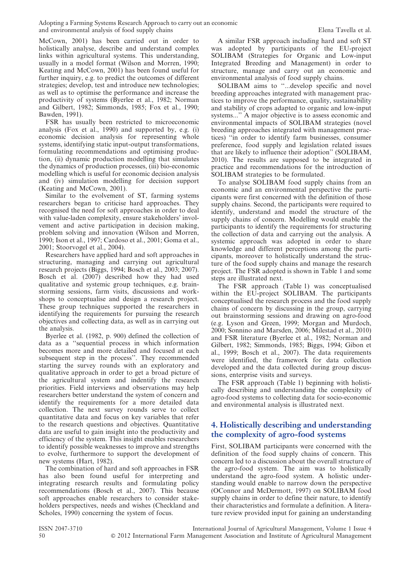McCown, 2001) has been carried out in order to holistically analyse, describe and understand complex links within agricultural systems. This understanding, usually in a model format (Wilson and Morren, 1990; Keating and McCown, 2001) has been found useful for further inquiry, e.g. to predict the outcomes of different strategies; develop, test and introduce new technologies; as well as to optimise the performance and increase the productivity of systems (Byerlee et al., 1982; Norman and Gilbert, 1982; Simmonds, 1985; Fox et al., 1990; Bawden, 1991).

FSR has usually been restricted to microeconomic analysis (Fox et al., 1990) and supported by, e.g. (i) economic decision analysis for representing whole systems, identifying static input-output transformations, formulating recommendations and optimising production, (ii) dynamic production modelling that simulates the dynamics of production processes, (iii) bio-economic modelling which is useful for economic decision analysis and (iv) simulation modelling for decision support (Keating and McCown, 2001).

Similar to the evolvement of ST, farming systems researchers began to criticise hard approaches. They recognised the need for soft approaches in order to deal with value-laden complexity, ensure stakeholders' involvement and active participation in decision making, problem solving and innovation (Wilson and Morren, 1990; Ison et al., 1997; Cardoso et al., 2001; Goma et al., 2001; Stoorvogel et al., 2004).

Researchers have applied hard and soft approaches in structuring, managing and carrying out agricultural research projects (Biggs, 1994; Bosch et al., 2003; 2007). Bosch et al. (2007) described how they had used qualitative and systemic group techniques, e.g. brainstorming sessions, farm visits, discussions and workshops to conceptualise and design a research project. These group techniques supported the researchers in identifying the requirements for pursuing the research objectives and collecting data, as well as in carrying out the analysis.

Byerlee et al. (1982, p. 900) defined the collection of data as a ''sequential process in which information becomes more and more detailed and focused at each subsequent step in the process''. They recommended starting the survey rounds with an exploratory and qualitative approach in order to get a broad picture of the agricultural system and indentify the research priorities. Field interviews and observations may help researchers better understand the system of concern and identify the requirements for a more detailed data collection. The next survey rounds serve to collect quantitative data and focus on key variables that refer to the research questions and objectives. Quantitative data are useful to gain insight into the productivity and efficiency of the system. This insight enables researchers to identify possible weaknesses to improve and strengths to evolve, furthermore to support the development of new systems (Hart, 1982).

The combination of hard and soft approaches in FSR has also been found useful for interpreting and integrating research results and formulating policy recommendations (Bosch et al., 2007). This because soft approaches enable researchers to consider stakeholders perspectives, needs and wishes (Checkland and Scholes, 1990) concerning the system of focus.

A similar FSR approach including hard and soft ST was adopted by participants of the EU-project SOLIBAM (Strategies for Organic and Low-input Integrated Breeding and Management) in order to structure, manage and carry out an economic and environmental analysis of food supply chains.

SOLIBAM aims to ''...develop specific and novel breeding approaches integrated with management practices to improve the performance, quality, sustainability and stability of crops adapted to organic and low-input systems...'' A major objective is to assess economic and environmental impacts of SOLIBAM strategies (novel breeding approaches integrated with management practices) ''in order to identify farm businesses, consumer preference, food supply and legislation related issues that are likely to influence their adoption'' (SOLIBAM, 2010). The results are supposed to be integrated in practice and recommendations for the introduction of SOLIBAM strategies to be formulated.

To analyse SOLIBAM food supply chains from an economic and an environmental perspective the participants were first concerned with the definition of those supply chains. Second, the participants were required to identify, understand and model the structure of the supply chains of concern. Modelling would enable the participants to identify the requirements for structuring the collection of data and carrying out the analysis. A systemic approach was adopted in order to share knowledge and different perceptions among the participants, moreover to holistically understand the structure of the food supply chains and manage the research project. The FSR adopted is shown in Table 1 and some steps are illustrated next.

The FSR approach (Table 1) was conceptualised within the EU-project SOLIBAM. The participants conceptualised the research process and the food supply chains of concern by discussing in the group, carrying out brainstorming sessions and drawing on agro-food (e.g. Lyson and Green, 1999; Morgan and Murdoch, 2000; Sonnino and Marsden, 2006; Milestad et al., 2010) and FSR literature (Byerlee et al., 1982; Norman and Gilbert, 1982; Simmonds, 1985; Biggs, 1994; Gibon et al., 1999; Bosch et al., 2007). The data requirements were identified, the framework for data collection developed and the data collected during group discussions, enterprise visits and surveys.

The FSR approach (Table 1) beginning with holistically describing and understanding the complexity of agro-food systems to collecting data for socio-economic and environmental analysis is illustrated next.

#### 4. Holistically describing and understanding the complexity of agro-food systems

First, SOLIBAM participants were concerned with the definition of the food supply chains of concern. This concern led to a discussion about the overall structure of the agro-food system. The aim was to holistically understand the agro-food system. A holistic understanding would enable to narrow down the perspective (OConnor and McDermott, 1997) on SOLIBAM food supply chains in order to define their nature, to identify their characteristics and formulate a definition. A literature review provided input for gaining an understanding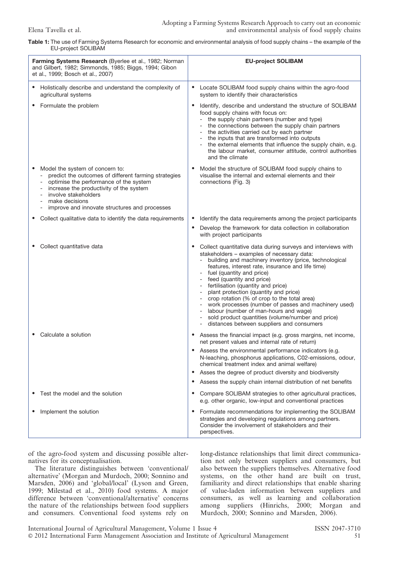#### Table 1: The use of Farming Systems Research for economic and environmental analysis of food supply chains – the example of the EU-project SOLIBAM

| Farming Systems Research (Byerlee et al., 1982; Norman<br>and Gilbert, 1982; Simmonds, 1985; Biggs, 1994; Gibon |                                                                                                                                                                                                                                                                         | <b>EU-project SOLIBAM</b> |                                                                                                                                                                                                                                                                                                                                                                                                                                                                                                                                                                                                                            |
|-----------------------------------------------------------------------------------------------------------------|-------------------------------------------------------------------------------------------------------------------------------------------------------------------------------------------------------------------------------------------------------------------------|---------------------------|----------------------------------------------------------------------------------------------------------------------------------------------------------------------------------------------------------------------------------------------------------------------------------------------------------------------------------------------------------------------------------------------------------------------------------------------------------------------------------------------------------------------------------------------------------------------------------------------------------------------------|
| et al., 1999; Bosch et al., 2007)                                                                               |                                                                                                                                                                                                                                                                         |                           |                                                                                                                                                                                                                                                                                                                                                                                                                                                                                                                                                                                                                            |
|                                                                                                                 | • Holistically describe and understand the complexity of<br>agricultural systems                                                                                                                                                                                        | $\bullet$                 | Locate SOLIBAM food supply chains within the agro-food<br>system to identify their characteristics                                                                                                                                                                                                                                                                                                                                                                                                                                                                                                                         |
|                                                                                                                 | Formulate the problem                                                                                                                                                                                                                                                   |                           | Identify, describe and understand the structure of SOLIBAM<br>food supply chains with focus on:<br>- the supply chain partners (number and type)<br>- the connections between the supply chain partners<br>- the activities carried out by each partner<br>the inputs that are transformed into outputs<br>the external elements that influence the supply chain, e.g.<br>the labour market, consumer attitude, control authorities<br>and the climate                                                                                                                                                                     |
|                                                                                                                 | Model the system of concern to:<br>predict the outcomes of different farming strategies<br>optimise the performance of the system<br>increase the productivity of the system<br>involve stakeholders<br>make decisions<br>improve and innovate structures and processes | $\bullet$                 | Model the structure of SOLIBAM food supply chains to<br>visualise the internal and external elements and their<br>connections (Fig. 3)                                                                                                                                                                                                                                                                                                                                                                                                                                                                                     |
|                                                                                                                 | Collect qualitative data to identify the data requirements                                                                                                                                                                                                              | ٠                         | Identify the data requirements among the project participants<br>Develop the framework for data collection in collaboration                                                                                                                                                                                                                                                                                                                                                                                                                                                                                                |
|                                                                                                                 |                                                                                                                                                                                                                                                                         |                           | with project participants                                                                                                                                                                                                                                                                                                                                                                                                                                                                                                                                                                                                  |
|                                                                                                                 | Collect quantitative data                                                                                                                                                                                                                                               |                           | Collect quantitative data during surveys and interviews with<br>stakeholders - examples of necessary data:<br>building and machinery inventory (price, technological<br>features, interest rate, insurance and life time)<br>- fuel (quantity and price)<br>feed (quantity and price)<br>- fertilisation (quantity and price)<br>plant protection (quantity and price)<br>crop rotation (% of crop to the total area)<br>- work processes (number of passes and machinery used)<br>labour (number of man-hours and wage)<br>sold product quantities (volume/number and price)<br>distances between suppliers and consumers |
|                                                                                                                 | Calculate a solution                                                                                                                                                                                                                                                    | ٠                         | • Assess the financial impact (e.g. gross margins, net income,<br>net present values and internal rate of return)<br>Assess the environmental performance indicators (e.g.<br>N-leaching, phosphorus applications, C02-emissions, odour,<br>chemical treatment index and animal welfare)<br>Asses the degree of product diversity and biodiversity<br>Assess the supply chain internal distribution of net benefits                                                                                                                                                                                                        |
|                                                                                                                 | Test the model and the solution                                                                                                                                                                                                                                         | ٠                         | Compare SOLIBAM strategies to other agricultural practices,<br>e.g. other organic, low-input and conventional practices                                                                                                                                                                                                                                                                                                                                                                                                                                                                                                    |
|                                                                                                                 | Implement the solution                                                                                                                                                                                                                                                  | $\bullet$                 | Formulate recommendations for implementing the SOLIBAM<br>strategies and developing regulations among partners.<br>Consider the involvement of stakeholders and their<br>perspectives.                                                                                                                                                                                                                                                                                                                                                                                                                                     |

of the agro-food system and discussing possible alternatives for its conceptualisation.

The literature distinguishes between 'conventional/ alternative' (Morgan and Murdoch, 2000; Sonnino and Marsden, 2006) and 'global/local' (Lyson and Green, 1999; Milestad et al., 2010) food systems. A major difference between 'conventional/alternative' concerns the nature of the relationships between food suppliers and consumers. Conventional food systems rely on

long-distance relationships that limit direct communication not only between suppliers and consumers, but also between the suppliers themselves. Alternative food systems, on the other hand are built on trust, familiarity and direct relationships that enable sharing of value-laden information between suppliers and consumers, as well as learning and collaboration among suppliers (Hinrichs, 2000; Morgan and Murdoch, 2000; Sonnino and Marsden, 2006).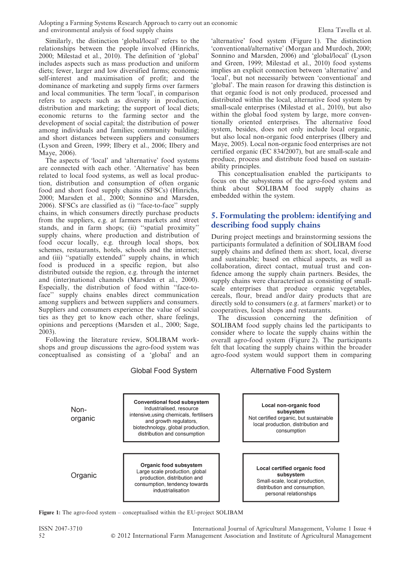Adopting a Farming Systems Research Approach to carry out an economic and environmental analysis of food supply chains Theorem 2003 Clean Tavella et al.

Similarly, the distinction 'global/local' refers to the relationships between the people involved (Hinrichs, 2000; Milestad et al., 2010). The definition of 'global' includes aspects such as mass production and uniform diets; fewer, larger and low diversified farms; economic self-interest and maximisation of profit; and the dominance of marketing and supply firms over farmers and local communities. The term 'local', in comparison refers to aspects such as diversity in production, distribution and marketing; the support of local diets; economic returns to the farming sector and the development of social capital; the distribution of power among individuals and families; community building; and short distances between suppliers and consumers (Lyson and Green, 1999; Ilbery et al., 2006; Ilbery and Maye, 2006).

The aspects of 'local' and 'alternative' food systems are connected with each other. 'Alternative' has been related to local food systems, as well as local production, distribution and consumption of often organic food and short food supply chains (SFSCs) (Hinrichs, 2000; Marsden et al., 2000; Sonnino and Marsden, 2006). SFSCs are classified as (i) ''face-to-face'' supply chains, in which consumers directly purchase products from the suppliers, e.g. at farmers markets and street stands, and in farm shops; (ii) ''spatial proximity'' supply chains, where production and distribution of food occur locally, e.g. through local shops, box schemes, restaurants, hotels, schools and the internet; and (iii) ''spatially extended'' supply chains, in which food is produced in a specific region, but also distributed outside the region, e.g. through the internet and (inter)national channels (Marsden et al., 2000). Especially, the distribution of food within ''face-toface'' supply chains enables direct communication among suppliers and between suppliers and consumers. Suppliers and consumers experience the value of social ties as they get to know each other, share feelings, opinions and perceptions (Marsden et al., 2000; Sage, 2003).

Following the literature review, SOLIBAM workshops and group discussions the agro-food system was conceptualised as consisting of a 'global' and an 'alternative' food system (Figure 1). The distinction 'conventional/alternative' (Morgan and Murdoch, 2000; Sonnino and Marsden, 2006) and 'global/local' (Lyson and Green, 1999; Milestad et al., 2010) food systems implies an explicit connection between 'alternative' and 'local', but not necessarily between 'conventional' and 'global'. The main reason for drawing this distinction is that organic food is not only produced, processed and distributed within the local, alternative food system by small-scale enterprises (Milestad et al., 2010), but also within the global food system by large, more conventionally oriented enterprises. The alternative food system, besides, does not only include local organic, but also local non-organic food enterprises (Ilbery and Maye, 2005). Local non-organic food enterprises are not certified organic (EC 834/2007), but are small-scale and produce, process and distribute food based on sustainability principles.

This conceptualisation enabled the participants to focus on the subsystems of the agro-food system and think about SOLIBAM food supply chains as embedded within the system.

#### 5. Formulating the problem: identifying and describing food supply chains

During project meetings and brainstorming sessions the participants formulated a definition of SOLIBAM food supply chains and defined them as: short, local, diverse and sustainable; based on ethical aspects, as well as collaboration, direct contact, mutual trust and confidence among the supply chain partners. Besides, the supply chains were characterised as consisting of smallscale enterprises that produce organic vegetables, cereals, flour, bread and/or dairy products that are directly sold to consumers (e.g. at farmers' market) or to cooperatives, local shops and restaurants.

The discussion concerning the definition of SOLIBAM food supply chains led the participants to consider where to locate the supply chains within the overall agro-food system (Figure 2). The participants felt that locating the supply chains within the broader agro-food system would support them in comparing

**Conventional food subsystem** Local non-organic food Industrialised, resource Nonsubsystem intensive, using chemicals, fertilisers Not certified organic, but sustainable organic and growth regulators, local production, distribution and biotechnology, global production, consumption distribution and consumption Organic food subsystem Local certified organic food Large scale production, global Organic subsystem production, distribution and Small-scale, local production, consumption, tendency towards distribution and consumption, industrialisation

Figure 1: The agro-food system – conceptualised within the EU-project SOLIBAM

ISSN 2047-3710 International Journal of Agricultural Management, Volume 1 Issue 4 52 ' 2012 International Farm Management Association and Institute of Agricultural Management

#### **Alternative Food System**

personal relationships

### **Global Food System**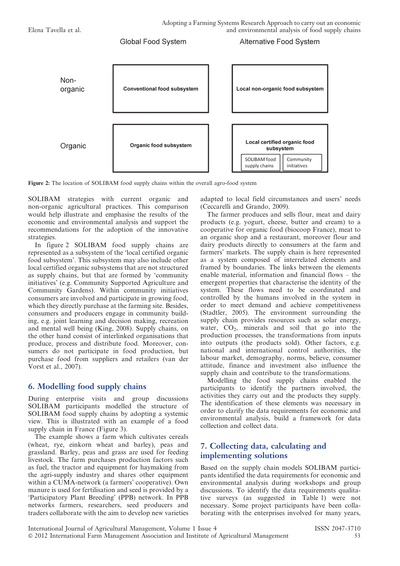

Figure 2: The location of SOLIBAM food supply chains within the overall agro-food system

SOLIBAM strategies with current organic and non-organic agricultural practices. This comparison would help illustrate and emphasise the results of the economic and environmental analysis and support the recommendations for the adoption of the innovative strategies.

In figure 2 SOLIBAM food supply chains are represented as a subsystem of the 'local certified organic food subsystem'. This subsystem may also include other local certified organic subsystems that are not structured as supply chains, but that are formed by 'community initiatives' (e.g. Community Supported Agriculture and Community Gardens). Within community initiatives consumers are involved and participate in growing food, which they directly purchase at the farming site. Besides, consumers and producers engage in community building, e.g. joint learning and decision making, recreation and mental well being (King, 2008). Supply chains, on the other hand consist of interlinked organisations that produce, process and distribute food. Moreover, consumers do not participate in food production, but purchase food from suppliers and retailers (van der Vorst et al., 2007).

#### 6. Modelling food supply chains

During enterprise visits and group discussions SOLIBAM participants modelled the structure of SOLIBAM food supply chains by adopting a systemic view. This is illustrated with an example of a food supply chain in France (Figure 3).

The example shows a farm which cultivates cereals (wheat, rye, einkorn wheat and barley), peas and grassland. Barley, peas and grass are used for feeding livestock. The farm purchases production factors such as fuel, the tractor and equipment for haymaking from the agri-supply industry and shares other equipment within a CUMA-network (a farmers' cooperative). Own manure is used for fertilisation and seed is provided by a 'Participatory Plant Breeding' (PPB) network. In PPB networks farmers, researchers, seed producers and traders collaborate with the aim to develop new varieties

adapted to local field circumstances and users' needs (Ceccarelli and Grando, 2009).

The farmer produces and sells flour, meat and dairy products (e.g. yogurt, cheese, butter and cream) to a cooperative for organic food (biocoop France), meat to an organic shop and a restaurant, moreover flour and dairy products directly to consumers at the farm and farmers' markets. The supply chain is here represented as a system composed of interrelated elements and framed by boundaries. The links between the elements enable material, information and financial flows – the emergent properties that characterise the identity of the system. These flows need to be coordinated and controlled by the humans involved in the system in order to meet demand and achieve competitiveness (Stadtler, 2005). The environment surrounding the supply chain provides resources such as solar energy, water,  $CO<sub>2</sub>$ , minerals and soil that go into the production processes, the transformations from inputs into outputs (the products sold). Other factors, e.g. national and international control authorities, the labour market, demography, norms, believe, consumer attitude, finance and investment also influence the supply chain and contribute to the transformations.

Modelling the food supply chains enabled the participants to identify the partners involved, the activities they carry out and the products they supply. The identification of these elements was necessary in order to clarify the data requirements for economic and environmental analysis, build a framework for data collection and collect data.

#### 7. Collecting data, calculating and implementing solutions

Based on the supply chain models SOLIBAM participants identified the data requirements for economic and environmental analysis during workshops and group discussions. To identify the data requirements qualitative surveys (as suggested in Table 1) were not necessary. Some project participants have been collaborating with the enterprises involved for many years,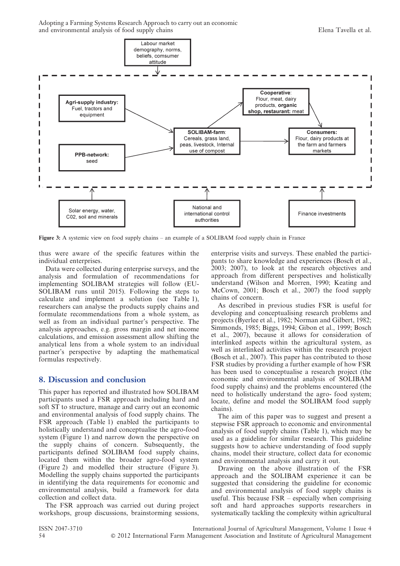

Figure 3: A systemic view on food supply chains – an example of a SOLIBAM food supply chain in France

thus were aware of the specific features within the individual enterprises.

Data were collected during enterprise surveys, and the analysis and formulation of recommendations for implementing SOLIBAM strategies will follow (EU-SOLIBAM runs until 2015). Following the steps to calculate and implement a solution (see Table 1), researchers can analyse the products supply chains and formulate recommendations from a whole system, as well as from an individual partner's perspective. The analysis approaches, e.g. gross margin and net income calculations, and emission assessment allow shifting the analytical lens from a whole system to an individual partner's perspective by adapting the mathematical formulas respectively.

#### 8. Discussion and conclusion

This paper has reported and illustrated how SOLIBAM participants used a FSR approach including hard and soft ST to structure, manage and carry out an economic and environmental analysis of food supply chains. The FSR approach (Table 1) enabled the participants to holistically understand and conceptualise the agro-food system (Figure 1) and narrow down the perspective on the supply chains of concern. Subsequently, the participants defined SOLIBAM food supply chains, located them within the broader agro-food system (Figure 2) and modelled their structure (Figure 3). Modelling the supply chains supported the participants in identifying the data requirements for economic and environmental analysis, build a framework for data collection and collect data.

The FSR approach was carried out during project workshops, group discussions, brainstorming sessions, enterprise visits and surveys. These enabled the participants to share knowledge and experiences (Bosch et al., 2003; 2007), to look at the research objectives and approach from different perspectives and holistically understand (Wilson and Morren, 1990; Keating and McCown, 2001; Bosch et al., 2007) the food supply chains of concern.

As described in previous studies FSR is useful for developing and conceptualising research problems and projects (Byerlee et al., 1982; Norman and Gilbert, 1982; Simmonds, 1985; Biggs, 1994; Gibon et al., 1999; Bosch et al., 2007), because it allows for consideration of interlinked aspects within the agricultural system, as well as interlinked activities within the research project (Bosch et al., 2007). This paper has contributed to those FSR studies by providing a further example of how FSR has been used to conceptualise a research project (the economic and environmental analysis of SOLIBAM food supply chains) and the problems encountered (the need to holistically understand the agro- food system; locate, define and model the SOLIBAM food supply chains).

The aim of this paper was to suggest and present a stepwise FSR approach to economic and environmental analysis of food supply chains (Table 1), which may be used as a guideline for similar research. This guideline suggests how to achieve understanding of food supply chains, model their structure, collect data for economic and environmental analysis and carry it out.

Drawing on the above illustration of the FSR approach and the SOLIBAM experience it can be suggested that considering the guideline for economic and environmental analysis of food supply chains is useful. This because  $FSR$  – especially when comprising soft and hard approaches supports researchers in systematically tackling the complexity within agricultural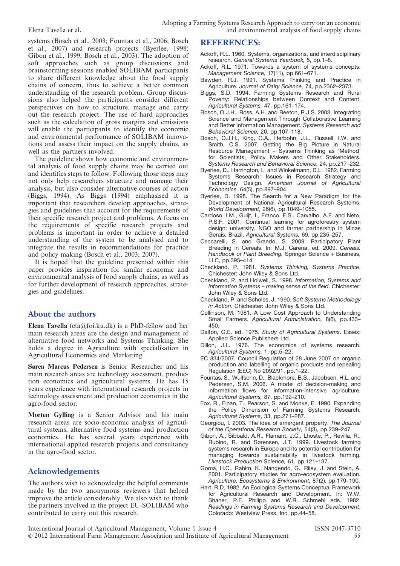systems (Bosch et al., 2003; Fountas et al., 2006; Bosch et al., 2007) and research projects (Byerlee, 1998; Gibon et al., 1999; Bosch et al., 2003). The adoption of soft approaches such as group discussions and brainstorming sessions enabled SOLIBAM participants to share different knowledge about the food supply chains of concern, thus to achieve a better common understanding of the research problem. Group discussions also helped the participants consider different perspectives on how to structure, manage and carry out the research project. The use of hard approaches such as the calculation of gross margins and emissions will enable the participants to identify the economic and environmental performance of SOLIBAM innovations and assess their impact on the supply chains, as well as the partners involved.

The guideline shows how economic and environmental analysis of food supply chains may be carried out and identifies steps to follow. Following those steps may not only help researchers structure and manage their analysis, but also consider alternative courses of action (Biggs, 1994). As Biggs (1994) emphasised it is important that researchers develop approaches, strategies and guidelines that account for the requirements of their specific research project and problems. A focus on the requirements of specific research projects and problems is important in order to achieve a detailed understanding of the system to be analysed and to integrate the results in recommendations for practice and policy making (Bosch et al., 2003; 2007).

It is hoped that the guideline presented within this paper provides inspiration for similar economic and environmental analysis of food supply chains, as well as for further development of research approaches, strategies and guidelines.

#### About the authors

Elena Tavella (eta@foi.ku.dk) is a PhD-fellow and her main research areas are the design and management of alternative food networks and Systems Thinking. She holds a degree in Agriculture with specialisation in Agricultural Economics and Marketing.

Søren Marcus Pedersen is Senior Researcher and his main research areas are technology assessment, production economics and agricultural systems. He has 15 years experience with international research projects in technology assessment and production economics in the agro-food sector.

Morten Gylling is a Senior Advisor and his main research areas are socio-economic analysis of agricultural systems, alternative food systems and production economics. He has several years experience with international applied research projects and consultancy in the agro-food sector.

#### Acknowledgements

The authors wish to acknowledge the helpful comments made by the two anonymous reviewers that helped improve the article considerably. We also wish to thank the partners involved in the project EU-SOLIBAM who contributed to carry out this research.

#### REFERENCES:

- Ackoff, R.L. 1960. Systems, organizations, and interdisciplinary research. General Systems Yearbook, 5, pp.1–8.
- Ackoff, R.L. 1971. Towards a system of systems concepts. Management Science, 17(11), pp.661–671.
- Bawden, R.J. 1991. Systems Thinking and Practice in Agriculture. Journal of Dairy Science, 74, pp.2362–2373.
- Biggs, S.D. 1994. Farming Systems Research and Rural Poverty: Relationships between Context and Content. Agricultural Systems, 47, pp.161–174.
- Bosch, O.J.H., Ross, A.H. and Beeton, R.J.S. 2003. Integrating Science and Management Through Collaborative Learning and Better Information Management. Systems Research and Behavioral Science, 20, pp.107–118.
- Bosch, O.J.H., King, C.A., Herbohn, J.L., Russell, I.W. and Smith, C.S. 2007. Getting the Big Picture in Natural Resource Management – Systems Thinking as 'Method' for Scientists, Policy Makers and Other Stakeholders. Systems Research and Behavioral Science, 24, pp.217–232.
- Byerlee, D., Harrington, L. and Winkelmann, D.L. 1982. Farming Systems Research: Issues in Research Strategy and Technology Design. American Journal of Agricultural Economics, 64(5), pp.897–904.
- Byerlee, D. 1998. The Search for a New Paradigm for the Development of National Agricultural Research Systems. World Development, 26(6), pp.1049–1055.
- Cardoso, I.M., Guijt, I., Franco, F.S., Carvalho, A.F. and Neto, P.S.F. 2001. Continual learning for agroforestry system design: university, NGO and farmer partnership in Minas Gerais, Brazil. Agricultural Systems, 69, pp.235–257.
- Ceccarelli, S. and Grando, S. 2009. Participatory Plant Breeding in Cereals. In: M.J. Carena, ed. 2009. Cereals. Handbook of Plant Breeding. Springer Science + Business, LLC, pp.395–414.
- Checkland, P. 1981. Systems Thinking, Systems Practice. Chichester: John Wiley & Sons Ltd.
- Checkland, P. and Holwell, S. 1998. Information, Systems and Information Systems – making sense of the field. Chichester: John Wiley & Sons Ltd.
- Checkland, P. and Scholes, J. 1990. Soft Systems Methodology in Action. Chichester: John Wiley & Sons Ltd.
- Collinson, M. 1981. A Low Cost Approach to Understanding Small Farmers. Agricultural Administration, 8(6), pp.433-450.
- Dalton, G.E. ed. 1975. Study of Agricultural Systems. Essex: Applied Science Publishers Ltd.
- Dillon, J.L. 1976. The economics of systems research. Agricultural Systems, 1, pp.5–22.
- EC 834/2007. Council Regulation of 28 June 2007 on organic production and labelling of organic products and repealing Regulation (EEC) No 2092/91, pp.1–22.
- Fountas, S., Wulfsohn, D., Blackmore, B.S., Jacobsen, H.L. and Pedersen, S.M. 2006. A model of decision-making and information flows for information-intensive agriculture. Agricultural Systems, 87, pp.192–210.
- Fox, R., Finan, T., Pearson, S. and Monke, E. 1990. Expanding the Policy Dimension of Farming Systems Research. Agricultural Systems, 33, pp.271–287.
- Georgiou, I. 2003. The idea of emergent property. The Journal of the Operational Research Society, 54(3), pp.239–247.
- Gibon, A., Sibbald, A.R., Flamant, J.C., Lhoste, P., Revilla, R., Rubino, R. and Sørensen, J.T. 1999. Livestock farming systems research in Europe and its potential contribution for managing towards sustainability in livestock farming. Livestock Production Science, 61, pp.121–137.
- Goma, H.C., Rahim, K., Nangendo, G., Riley, J. and Stein, A. 2001. Participatory studies for agro-ecosystem evaluation. Agriculture, Ecosystems & Environment, 87(2), pp.179–190.
- Hart, R.D. 1982. An Ecological Systems Conceptual Framework for Agricultural Research and Development. In: W.W. Shaner, P.F. Philipp and W.R. Schmehl eds. 1982. Readings in Farming Systems Research and Development. Colorado: Westview Press, Inc. pp.44–58.

International Journal of Agricultural Management, Volume 1 Issue 4 ISSN 2047-3710 ' 2012 International Farm Management Association and Institute of Agricultural Management 55